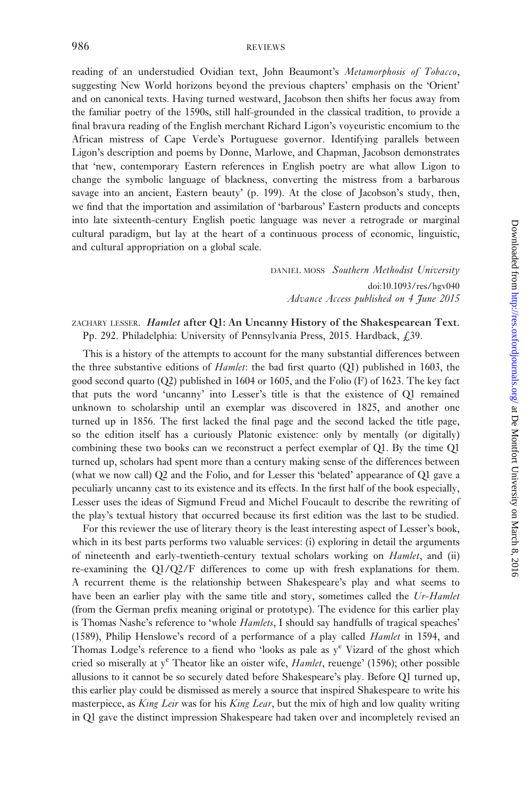reading of an understudied Ovidian text, John Beaumont's Metamorphosis of Tobacco, suggesting New World horizons beyond the previous chapters' emphasis on the 'Orient' and on canonical texts. Having turned westward, Jacobson then shifts her focus away from the familiar poetry of the 1590s, still half-grounded in the classical tradition, to provide a final bravura reading of the English merchant Richard Ligon's voyeuristic encomium to the African mistress of Cape Verde's Portuguese governor. Identifying parallels between Ligon's description and poems by Donne, Marlowe, and Chapman, Jacobson demonstrates that 'new, contemporary Eastern references in English poetry are what allow Ligon to change the symbolic language of blackness, converting the mistress from a barbarous savage into an ancient, Eastern beauty' (p. 199). At the close of Jacobson's study, then, we find that the importation and assimilation of 'barbarous' Eastern products and concepts into late sixteenth-century English poetic language was never a retrograde or marginal cultural paradigm, but lay at the heart of a continuous process of economic, linguistic, and cultural appropriation on a global scale.

> DANIEL MOSS Southern Methodist University doi:10.1093/res/hgv040 Advance Access published on 4 June 2015

## ZACHARY LESSER. Hamlet after Q1: An Uncanny History of the Shakespearean Text. Pp. 292. Philadelphia: University of Pennsylvania Press, 2015. Hardback, £39.

This is a history of the attempts to account for the many substantial differences between the three substantive editions of *Hamlet*: the bad first quarto  $(Q1)$  published in 1603, the good second quarto  $(Q2)$  published in 1604 or 1605, and the Folio  $(F)$  of 1623. The key fact that puts the word 'uncanny' into Lesser's title is that the existence of Q1 remained unknown to scholarship until an exemplar was discovered in 1825, and another one turned up in 1856. The first lacked the final page and the second lacked the title page, so the edition itself has a curiously Platonic existence: only by mentally (or digitally) combining these two books can we reconstruct a perfect exemplar of Q1. By the time Q1 turned up, scholars had spent more than a century making sense of the differences between (what we now call) Q2 and the Folio, and for Lesser this 'belated' appearance of Q1 gave a peculiarly uncanny cast to its existence and its effects. In the first half of the book especially, Lesser uses the ideas of Sigmund Freud and Michel Foucault to describe the rewriting of the play's textual history that occurred because its first edition was the last to be studied.

For this reviewer the use of literary theory is the least interesting aspect of Lesser's book, which in its best parts performs two valuable services: (i) exploring in detail the arguments of nineteenth and early-twentieth-century textual scholars working on Hamlet, and (ii) re-examining the Q1/Q2/F differences to come up with fresh explanations for them. A recurrent theme is the relationship between Shakespeare's play and what seems to have been an earlier play with the same title and story, sometimes called the Ur-Hamlet (from the German prefix meaning original or prototype). The evidence for this earlier play is Thomas Nashe's reference to 'whole *Hamlets*, I should say handfulls of tragical speaches' (1589), Philip Henslowe's record of a performance of a play called Hamlet in 1594, and Thomas Lodge's reference to a fiend who 'looks as pale as  $y^e$  Vizard of the ghost which cried so miserally at  $y^e$  Theator like an oister wife, *Hamlet*, reuenge' (1596); other possible allusions to it cannot be so securely dated before Shakespeare's play. Before Q1 turned up, this earlier play could be dismissed as merely a source that inspired Shakespeare to write his masterpiece, as King Leir was for his King Lear, but the mix of high and low quality writing in Q1 gave the distinct impression Shakespeare had taken over and incompletely revised an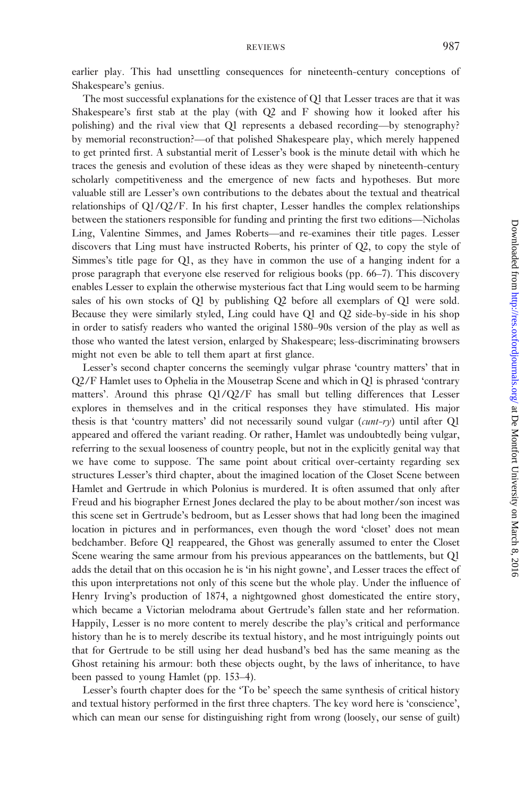earlier play. This had unsettling consequences for nineteenth-century conceptions of Shakespeare's genius.

The most successful explanations for the existence of Q1 that Lesser traces are that it was Shakespeare's first stab at the play (with Q2 and F showing how it looked after his polishing) and the rival view that Q1 represents a debased recording—by stenography? by memorial reconstruction?—of that polished Shakespeare play, which merely happened to get printed first. A substantial merit of Lesser's book is the minute detail with which he traces the genesis and evolution of these ideas as they were shaped by nineteenth-century scholarly competitiveness and the emergence of new facts and hypotheses. But more valuable still are Lesser's own contributions to the debates about the textual and theatrical relationships of Q1/Q2/F. In his first chapter, Lesser handles the complex relationships between the stationers responsible for funding and printing the first two editions—Nicholas Ling, Valentine Simmes, and James Roberts—and re-examines their title pages. Lesser discovers that Ling must have instructed Roberts, his printer of Q2, to copy the style of Simmes's title page for Q1, as they have in common the use of a hanging indent for a prose paragraph that everyone else reserved for religious books (pp. 66–7). This discovery enables Lesser to explain the otherwise mysterious fact that Ling would seem to be harming sales of his own stocks of Q1 by publishing Q2 before all exemplars of Q1 were sold. Because they were similarly styled, Ling could have Q1 and Q2 side-by-side in his shop in order to satisfy readers who wanted the original 1580–90s version of the play as well as those who wanted the latest version, enlarged by Shakespeare; less-discriminating browsers might not even be able to tell them apart at first glance.

Lesser's second chapter concerns the seemingly vulgar phrase 'country matters' that in Q2/F Hamlet uses to Ophelia in the Mousetrap Scene and which in Q1 is phrased 'contrary matters'. Around this phrase Q1/Q2/F has small but telling differences that Lesser explores in themselves and in the critical responses they have stimulated. His major thesis is that 'country matters' did not necessarily sound vulgar  $(cunt-\tau y)$  until after Q1 appeared and offered the variant reading. Or rather, Hamlet was undoubtedly being vulgar, referring to the sexual looseness of country people, but not in the explicitly genital way that we have come to suppose. The same point about critical over-certainty regarding sex structures Lesser's third chapter, about the imagined location of the Closet Scene between Hamlet and Gertrude in which Polonius is murdered. It is often assumed that only after Freud and his biographer Ernest Jones declared the play to be about mother/son incest was this scene set in Gertrude's bedroom, but as Lesser shows that had long been the imagined location in pictures and in performances, even though the word 'closet' does not mean bedchamber. Before Q1 reappeared, the Ghost was generally assumed to enter the Closet Scene wearing the same armour from his previous appearances on the battlements, but Q1 adds the detail that on this occasion he is 'in his night gowne', and Lesser traces the effect of this upon interpretations not only of this scene but the whole play. Under the influence of Henry Irving's production of 1874, a nightgowned ghost domesticated the entire story, which became a Victorian melodrama about Gertrude's fallen state and her reformation. Happily, Lesser is no more content to merely describe the play's critical and performance history than he is to merely describe its textual history, and he most intriguingly points out that for Gertrude to be still using her dead husband's bed has the same meaning as the Ghost retaining his armour: both these objects ought, by the laws of inheritance, to have been passed to young Hamlet (pp. 153–4).

Lesser's fourth chapter does for the 'To be' speech the same synthesis of critical history and textual history performed in the first three chapters. The key word here is 'conscience', which can mean our sense for distinguishing right from wrong (loosely, our sense of guilt)